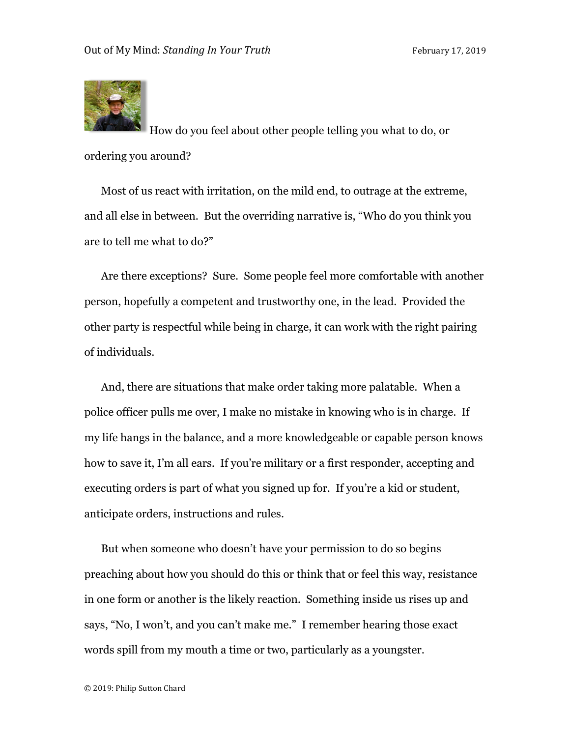

How do you feel about other people telling you what to do, or ordering you around?

Most of us react with irritation, on the mild end, to outrage at the extreme, and all else in between. But the overriding narrative is, "Who do you think you are to tell me what to do?"

Are there exceptions? Sure. Some people feel more comfortable with another person, hopefully a competent and trustworthy one, in the lead. Provided the other party is respectful while being in charge, it can work with the right pairing of individuals.

And, there are situations that make order taking more palatable. When a police officer pulls me over, I make no mistake in knowing who is in charge. If my life hangs in the balance, and a more knowledgeable or capable person knows how to save it, I'm all ears. If you're military or a first responder, accepting and executing orders is part of what you signed up for. If you're a kid or student, anticipate orders, instructions and rules.

But when someone who doesn't have your permission to do so begins preaching about how you should do this or think that or feel this way, resistance in one form or another is the likely reaction. Something inside us rises up and says, "No, I won't, and you can't make me." I remember hearing those exact words spill from my mouth a time or two, particularly as a youngster.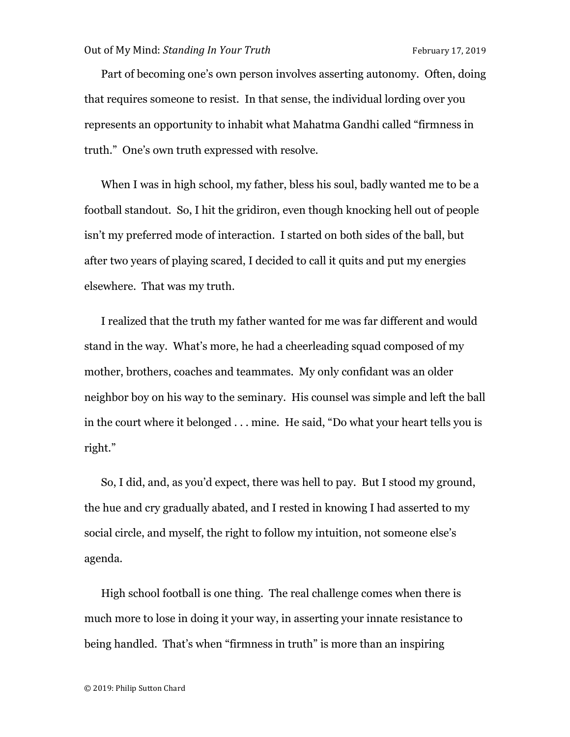Part of becoming one's own person involves asserting autonomy. Often, doing that requires someone to resist. In that sense, the individual lording over you represents an opportunity to inhabit what Mahatma Gandhi called "firmness in truth." One's own truth expressed with resolve.

When I was in high school, my father, bless his soul, badly wanted me to be a football standout. So, I hit the gridiron, even though knocking hell out of people isn't my preferred mode of interaction. I started on both sides of the ball, but after two years of playing scared, I decided to call it quits and put my energies elsewhere. That was my truth.

I realized that the truth my father wanted for me was far different and would stand in the way. What's more, he had a cheerleading squad composed of my mother, brothers, coaches and teammates. My only confidant was an older neighbor boy on his way to the seminary. His counsel was simple and left the ball in the court where it belonged . . . mine. He said, "Do what your heart tells you is right."

So, I did, and, as you'd expect, there was hell to pay. But I stood my ground, the hue and cry gradually abated, and I rested in knowing I had asserted to my social circle, and myself, the right to follow my intuition, not someone else's agenda.

High school football is one thing. The real challenge comes when there is much more to lose in doing it your way, in asserting your innate resistance to being handled. That's when "firmness in truth" is more than an inspiring